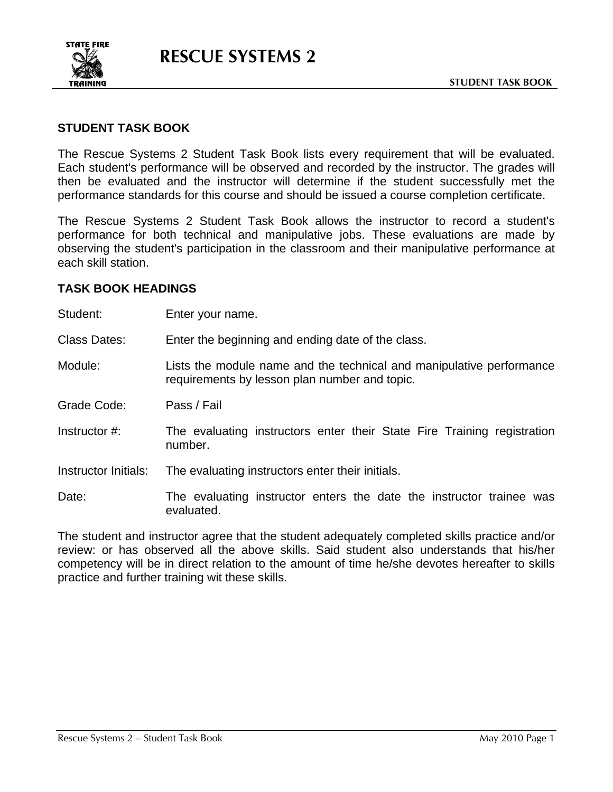

## **STUDENT TASK BOOK**

The Rescue Systems 2 Student Task Book lists every requirement that will be evaluated. Each student's performance will be observed and recorded by the instructor. The grades will then be evaluated and the instructor will determine if the student successfully met the performance standards for this course and should be issued a course completion certificate.

The Rescue Systems 2 Student Task Book allows the instructor to record a student's performance for both technical and manipulative jobs. These evaluations are made by observing the student's participation in the classroom and their manipulative performance at each skill station.

## **TASK BOOK HEADINGS**

Student: Enter your name.

Class Dates: Enter the beginning and ending date of the class.

Module: Lists the module name and the technical and manipulative performance requirements by lesson plan number and topic.

Grade Code: Pass / Fail

Instructor #: The evaluating instructors enter their State Fire Training registration number.

Instructor Initials: The evaluating instructors enter their initials.

Date: The evaluating instructor enters the date the instructor trainee was evaluated.

The student and instructor agree that the student adequately completed skills practice and/or review: or has observed all the above skills. Said student also understands that his/her competency will be in direct relation to the amount of time he/she devotes hereafter to skills practice and further training wit these skills.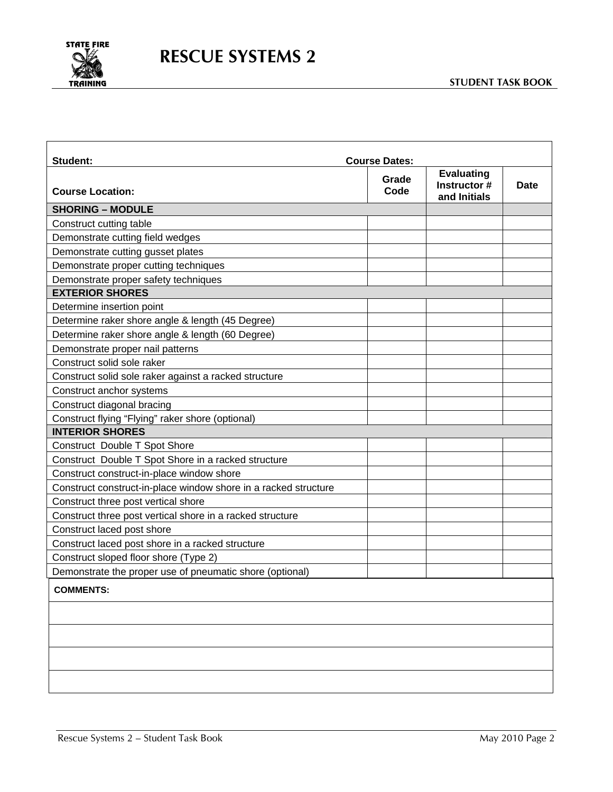

| <b>Student:</b>                                                 | <b>Course Dates:</b> |                                                   |      |
|-----------------------------------------------------------------|----------------------|---------------------------------------------------|------|
| <b>Course Location:</b>                                         | Grade<br>Code        | <b>Evaluating</b><br>Instructor #<br>and Initials | Date |
| <b>SHORING - MODULE</b>                                         |                      |                                                   |      |
| Construct cutting table                                         |                      |                                                   |      |
| Demonstrate cutting field wedges                                |                      |                                                   |      |
| Demonstrate cutting gusset plates                               |                      |                                                   |      |
| Demonstrate proper cutting techniques                           |                      |                                                   |      |
| Demonstrate proper safety techniques                            |                      |                                                   |      |
| <b>EXTERIOR SHORES</b>                                          |                      |                                                   |      |
| Determine insertion point                                       |                      |                                                   |      |
| Determine raker shore angle & length (45 Degree)                |                      |                                                   |      |
| Determine raker shore angle & length (60 Degree)                |                      |                                                   |      |
| Demonstrate proper nail patterns                                |                      |                                                   |      |
| Construct solid sole raker                                      |                      |                                                   |      |
| Construct solid sole raker against a racked structure           |                      |                                                   |      |
| Construct anchor systems                                        |                      |                                                   |      |
| Construct diagonal bracing                                      |                      |                                                   |      |
| Construct flying "Flying" raker shore (optional)                |                      |                                                   |      |
| <b>INTERIOR SHORES</b>                                          |                      |                                                   |      |
| Construct Double T Spot Shore                                   |                      |                                                   |      |
| Construct Double T Spot Shore in a racked structure             |                      |                                                   |      |
| Construct construct-in-place window shore                       |                      |                                                   |      |
| Construct construct-in-place window shore in a racked structure |                      |                                                   |      |
| Construct three post vertical shore                             |                      |                                                   |      |
| Construct three post vertical shore in a racked structure       |                      |                                                   |      |
| Construct laced post shore                                      |                      |                                                   |      |
| Construct laced post shore in a racked structure                |                      |                                                   |      |
| Construct sloped floor shore (Type 2)                           |                      |                                                   |      |
| Demonstrate the proper use of pneumatic shore (optional)        |                      |                                                   |      |
| <b>COMMENTS:</b>                                                |                      |                                                   |      |
|                                                                 |                      |                                                   |      |
|                                                                 |                      |                                                   |      |
|                                                                 |                      |                                                   |      |
|                                                                 |                      |                                                   |      |
|                                                                 |                      |                                                   |      |
|                                                                 |                      |                                                   |      |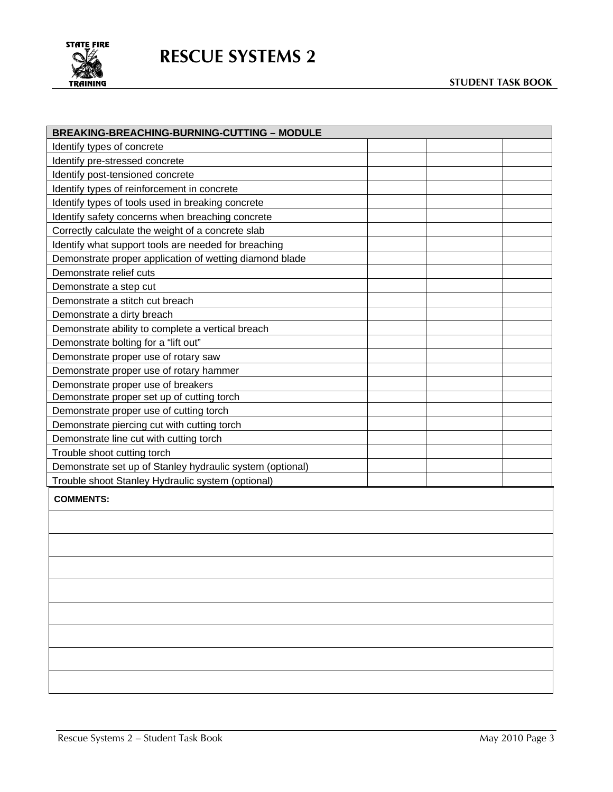

## **RESCUE SYSTEMS 2**

| <b>BREAKING-BREACHING-BURNING-CUTTING - MODULE</b>        |  |  |  |  |  |
|-----------------------------------------------------------|--|--|--|--|--|
| Identify types of concrete                                |  |  |  |  |  |
| Identify pre-stressed concrete                            |  |  |  |  |  |
| Identify post-tensioned concrete                          |  |  |  |  |  |
| Identify types of reinforcement in concrete               |  |  |  |  |  |
| Identify types of tools used in breaking concrete         |  |  |  |  |  |
| Identify safety concerns when breaching concrete          |  |  |  |  |  |
| Correctly calculate the weight of a concrete slab         |  |  |  |  |  |
| Identify what support tools are needed for breaching      |  |  |  |  |  |
| Demonstrate proper application of wetting diamond blade   |  |  |  |  |  |
| Demonstrate relief cuts                                   |  |  |  |  |  |
| Demonstrate a step cut                                    |  |  |  |  |  |
| Demonstrate a stitch cut breach                           |  |  |  |  |  |
| Demonstrate a dirty breach                                |  |  |  |  |  |
| Demonstrate ability to complete a vertical breach         |  |  |  |  |  |
| Demonstrate bolting for a "lift out"                      |  |  |  |  |  |
| Demonstrate proper use of rotary saw                      |  |  |  |  |  |
| Demonstrate proper use of rotary hammer                   |  |  |  |  |  |
| Demonstrate proper use of breakers                        |  |  |  |  |  |
| Demonstrate proper set up of cutting torch                |  |  |  |  |  |
| Demonstrate proper use of cutting torch                   |  |  |  |  |  |
| Demonstrate piercing cut with cutting torch               |  |  |  |  |  |
| Demonstrate line cut with cutting torch                   |  |  |  |  |  |
| Trouble shoot cutting torch                               |  |  |  |  |  |
| Demonstrate set up of Stanley hydraulic system (optional) |  |  |  |  |  |
| Trouble shoot Stanley Hydraulic system (optional)         |  |  |  |  |  |
| <b>COMMENTS:</b>                                          |  |  |  |  |  |
|                                                           |  |  |  |  |  |
|                                                           |  |  |  |  |  |
|                                                           |  |  |  |  |  |
|                                                           |  |  |  |  |  |
|                                                           |  |  |  |  |  |
|                                                           |  |  |  |  |  |
|                                                           |  |  |  |  |  |
|                                                           |  |  |  |  |  |
|                                                           |  |  |  |  |  |